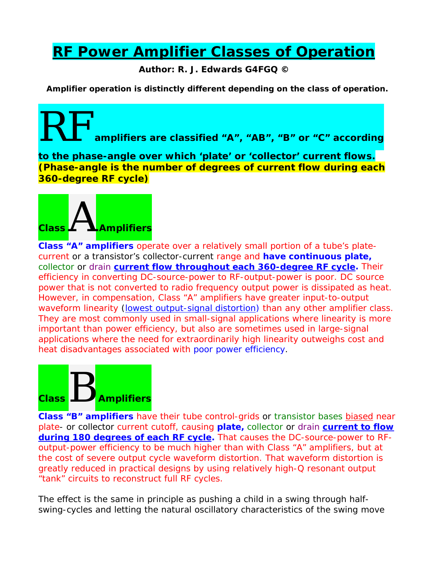## **RF Power Amplifier Classes of Operation**

**Author: R. J. Edwards G4FGQ ©** 

**Amplifier operation is distinctly different depending on the class of operation.**

amplifiers are classified "A", "AB", "B" or "C" according

**to the phase-angle over which 'plate' or 'collector' current flows. (Phase-angle is the number of degrees of current flow during each 360-degree RF cycle)** 



**Class "A" amplifiers** operate over a relatively small portion of a tube's platecurrent or a transistor's collector-current range and **have continuous plate,**  collector or drain **current flow throughout each 360-degree RF cycle.** Their efficiency in converting DC-source-power to RF-output-power is poor. DC source power that is not converted to radio frequency output power is dissipated as heat. However, in compensation, Class "A" amplifiers have greater input-to-output waveform linearity *(lowest output-signal distortion)* than any other amplifier class. They are most commonly used in small-signal applications where linearity is more important than power efficiency, but also are sometimes used in large-signal applications where the need for extraordinarily high linearity outweighs cost and heat disadvantages associated with poor power efficiency.



**Class "B" amplifiers** have their tube control-grids or transistor bases biased near plate- or collector current cutoff, causing **plate,** collector or drain **current to flow during 180 degrees of each RF cycle.** That causes the DC-source-power to RFoutput-power efficiency to be much higher than with Class "A" amplifiers, but at the cost of severe output cycle waveform distortion. That waveform distortion is greatly reduced in practical designs by using relatively high-Q resonant output "tank" circuits to reconstruct full RF cycles.

The effect is the same in principle as pushing a child in a swing through halfswing-cycles and letting the natural oscillatory characteristics of the swing move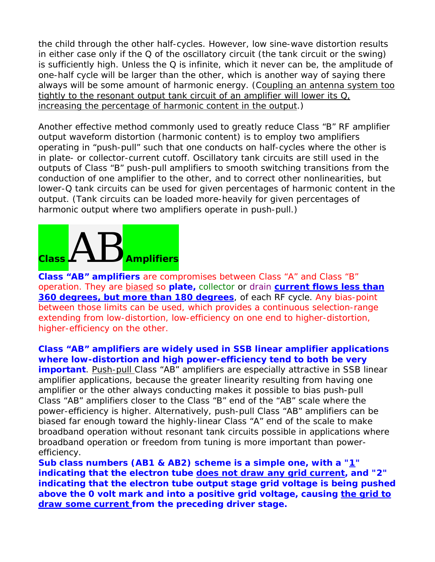the child through the other half-cycles. However, low sine-wave distortion results in either case only if the Q of the oscillatory circuit (*the tank circuit or the swing*) is sufficiently high. Unless the Q is infinite, which it never can be, the amplitude of one-half cycle will be larger than the other, which is another way of saying there always will be some amount of harmonic energy. *(Coupling an antenna system too tightly to the resonant output tank circuit of an amplifier will lower its Q, increasing the percentage of harmonic content in the output.)* 

Another effective method commonly used to greatly reduce Class "B" RF amplifier output waveform distortion (*harmonic content*) is to employ two amplifiers operating in "push-pull" such that one conducts on half-cycles where the other is in plate- or collector-current cutoff. Oscillatory tank circuits are still used in the outputs of Class "B" push-pull amplifiers to smooth switching transitions from the conduction of one amplifier to the other, and to correct other nonlinearities, but lower-Q tank circuits can be used for given percentages of harmonic content in the output. *(Tank circuits can be loaded more-heavily for given percentages of harmonic output where two amplifiers operate in push-pull.)* 

## **Class** AB **Amplifiers**

**Class "AB" amplifiers** are compromises between Class "A" and Class "B" operation. They are biased so **plate,** collector or drain **current flows less than 360 degrees, but more than 180 degrees**, of each RF cycle. Any bias-point between those limits can be used, which provides a continuous selection-range extending from low-distortion, low-efficiency on one end to higher-distortion, higher-efficiency on the other.

**Class "AB" amplifiers are widely used in SSB linear amplifier applications where low-distortion and high power-efficiency tend to both be very important**. Push-pull Class "AB" amplifiers are especially attractive in SSB linear amplifier applications, because the greater linearity resulting from having one amplifier or the other always conducting makes it possible to bias push-pull Class "AB" amplifiers closer to the Class "B" end of the "AB" scale where the power-efficiency is higher. Alternatively, push-pull Class "AB" amplifiers can be biased far enough toward the highly-linear Class "A" end of the scale to make broadband operation without resonant tank circuits possible in applications where broadband operation or freedom from tuning is more important than powerefficiency.

**Sub class numbers (AB1 & AB2) scheme is a simple one, with a "1" indicating that the electron tube does not draw any grid current, and "2" indicating that the electron tube output stage grid voltage is being pushed above the 0 volt mark and into a positive grid voltage, causing the grid to draw some current from the preceding driver stage.**